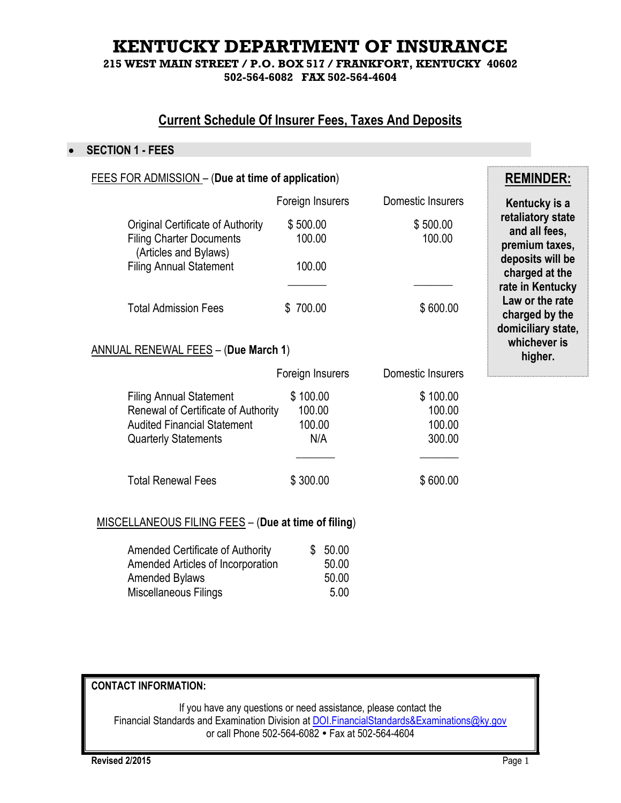# **KENTUCKY DEPARTMENT OF INSURANCE**

**215 WEST MAIN STREET / P.O. BOX 517 / FRANKFORT, KENTUCKY 40602 502-564-6082 FAX 502-564-4604**

# **Current Schedule Of Insurer Fees, Taxes And Deposits**

#### **SECTION 1 - FEES**

| <b>FEES FOR ADMISSION - (Due at time of application)</b>                                                                                   | <b>REMINDER:</b>                    |                                        |                                                         |  |
|--------------------------------------------------------------------------------------------------------------------------------------------|-------------------------------------|----------------------------------------|---------------------------------------------------------|--|
|                                                                                                                                            | Foreign Insurers                    | Domestic Insurers                      | Kentucky is a                                           |  |
| <b>Original Certificate of Authority</b><br><b>Filing Charter Documents</b><br>(Articles and Bylaws)                                       | \$500.00<br>100.00                  | \$500.00<br>100.00                     | retaliatory state<br>and all fees,<br>premium taxes,    |  |
| <b>Filing Annual Statement</b>                                                                                                             | 100.00                              |                                        | deposits will be<br>charged at the<br>rate in Kentucky  |  |
| <b>Total Admission Fees</b>                                                                                                                | \$700.00                            | \$600.00                               | Law or the rate<br>charged by the<br>domiciliary state, |  |
| <b>ANNUAL RENEWAL FEES - (Due March 1)</b>                                                                                                 | whichever is<br>higher.             |                                        |                                                         |  |
|                                                                                                                                            | Foreign Insurers                    | Domestic Insurers                      |                                                         |  |
| <b>Filing Annual Statement</b><br>Renewal of Certificate of Authority<br><b>Audited Financial Statement</b><br><b>Quarterly Statements</b> | \$100.00<br>100.00<br>100.00<br>N/A | \$100.00<br>100.00<br>100.00<br>300.00 |                                                         |  |
| <b>Total Renewal Fees</b>                                                                                                                  | \$300.00                            | \$600.00                               |                                                         |  |
| <u> MISCELLANEOUS FILING FEES</u> - (Due at time of filing)                                                                                |                                     |                                        |                                                         |  |

| <b>Amended Certificate of Authority</b> | \$50.00 |
|-----------------------------------------|---------|
| Amended Articles of Incorporation       | 50.00   |
| <b>Amended Bylaws</b>                   | 50.00   |
| Miscellaneous Filings                   | 5.00    |

## **CONTACT INFORMATION:**

If you have any questions or need assistance, please contact the Financial Standards and Examination Division a[t DOI.FinancialStandards&Examinations@ky.gov](mailto:DOI.FinancialStandards&Examinations@ky.gov) or call Phone 502-564-6082 Fax at 502-564-4604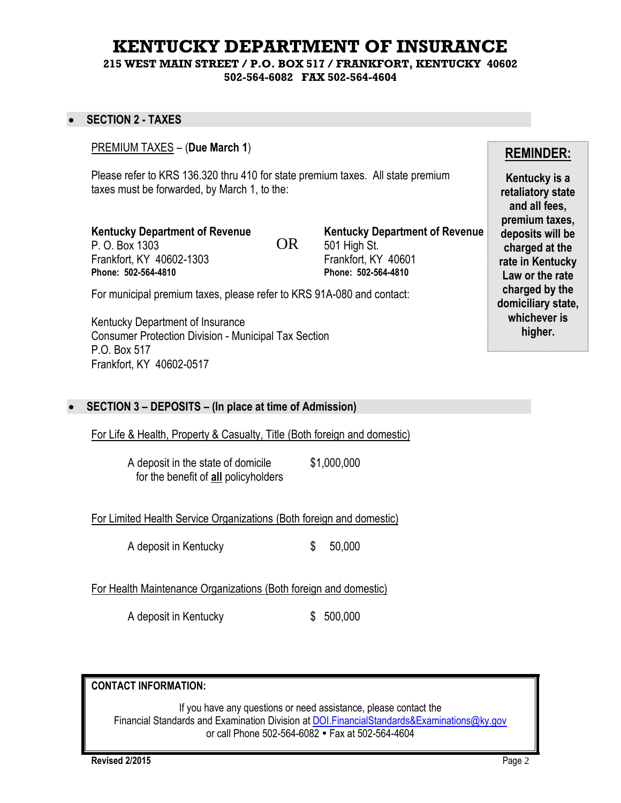# **KENTUCKY DEPARTMENT OF INSURANCE**

**215 WEST MAIN STREET / P.O. BOX 517 / FRANKFORT, KENTUCKY 40602 502-564-6082 FAX 502-564-4604**

#### **SECTION 2 - TAXES**

#### PREMIUM TAXES – (**Due March 1**)

Please refer to KRS 136.320 thru 410 for state premium taxes. All state premium taxes must be forwarded, by March 1, to the:

OR

**Kentucky Department of Revenue** P. O. Box 1303 Frankfort, KY 40602-1303 **Phone: 502-564-4810**

**Kentucky Department of Revenue** 501 High St. Frankfort, KY 40601 **Phone: 502-564-4810**

For municipal premium taxes, please refer to KRS 91A-080 and contact:

Kentucky Department of Insurance Consumer Protection Division - Municipal Tax Section P.O. Box 517 Frankfort, KY 40602-0517

#### **SECTION 3 – DEPOSITS – (In place at time of Admission)**

For Life & Health, Property & Casualty, Title (Both foreign and domestic)

A deposit in the state of domicile \$1,000,000 for the benefit of **all** policyholders

For Limited Health Service Organizations (Both foreign and domestic)

A deposit in Kentucky  $$50,000$ 

For Health Maintenance Organizations (Both foreign and domestic)

A deposit in Kentucky  $$500,000$ 

**CONTACT INFORMATION:**

If you have any questions or need assistance, please contact the Financial Standards and Examination Division a[t DOI.FinancialStandards&Examinations@ky.gov](mailto:DOI.FinancialStandards&Examinations@ky.gov) or call Phone 502-564-6082 Fax at 502-564-4604

**Revised 2/2015** Page 2

## **REMINDER:**

**Kentucky is a retaliatory state and all fees, premium taxes, deposits will be charged at the rate in Kentucky Law or the rate charged by the domiciliary state, whichever is higher.**